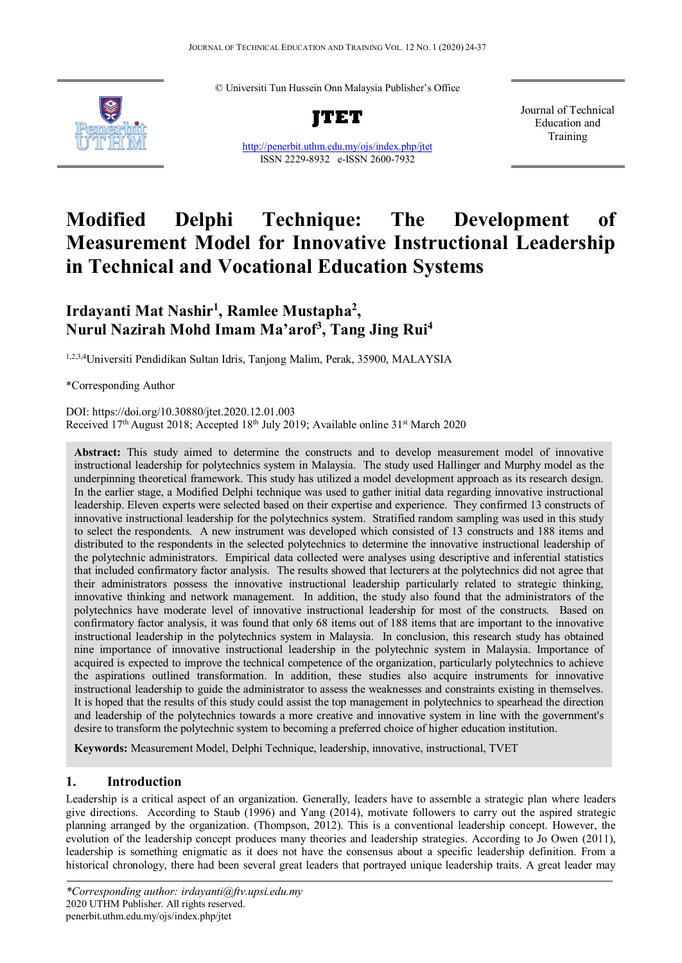© Universiti Tun Hussein Onn Malaysia Publisher's Office



**JTET**

<http://penerbit.uthm.edu.my/ojs/index.php/jtet> ISSN 2229-8932 e-ISSN 2600-7932

Journal of Technical Education and Training

# **Modified Delphi Technique: The Development of Measurement Model for Innovative Instructional Leadership in Technical and Vocational Education Systems**

# **Irdayanti Mat Nashir1 , Ramlee Mustapha2 , Nurul Nazirah Mohd Imam Ma'arof3 , Tang Jing Rui4**

1,2,3,4Universiti Pendidikan Sultan Idris, Tanjong Malim, Perak, 35900, MALAYSIA

\*Corresponding Author

DOI: https://doi.org/10.30880/jtet.2020.12.01.003 Received 17<sup>th</sup> August 2018; Accepted 18<sup>th</sup> July 2019; Available online 31<sup>st</sup> March 2020

**Abstract:** This study aimed to determine the constructs and to develop measurement model of innovative instructional leadership for polytechnics system in Malaysia. The study used Hallinger and Murphy model as the underpinning theoretical framework. This study has utilized a model development approach as its research design. In the earlier stage, a Modified Delphi technique was used to gather initial data regarding innovative instructional leadership. Eleven experts were selected based on their expertise and experience. They confirmed 13 constructs of innovative instructional leadership for the polytechnics system. Stratified random sampling was used in this study to select the respondents. A new instrument was developed which consisted of 13 constructs and 188 items and distributed to the respondents in the selected polytechnics to determine the innovative instructional leadership of the polytechnic administrators. Empirical data collected were analyses using descriptive and inferential statistics that included confirmatory factor analysis. The results showed that lecturers at the polytechnics did not agree that their administrators possess the innovative instructional leadership particularly related to strategic thinking, innovative thinking and network management. In addition, the study also found that the administrators of the polytechnics have moderate level of innovative instructional leadership for most of the constructs. Based on confirmatory factor analysis, it was found that only 68 items out of 188 items that are important to the innovative instructional leadership in the polytechnics system in Malaysia. In conclusion, this research study has obtained nine importance of innovative instructional leadership in the polytechnic system in Malaysia. Importance of acquired is expected to improve the technical competence of the organization, particularly polytechnics to achieve the aspirations outlined transformation. In addition, these studies also acquire instruments for innovative instructional leadership to guide the administrator to assess the weaknesses and constraints existing in themselves. It is hoped that the results of this study could assist the top management in polytechnics to spearhead the direction and leadership of the polytechnics towards a more creative and innovative system in line with the government's desire to transform the polytechnic system to becoming a preferred choice of higher education institution.

**Keywords:** Measurement Model, Delphi Technique, leadership, innovative, instructional, TVET

# **1. Introduction**

Leadership is a critical aspect of an organization. Generally, leaders have to assemble a strategic plan where leaders give directions. According to Staub (1996) and Yang (2014), motivate followers to carry out the aspired strategic planning arranged by the organization. (Thompson, 2012). This is a conventional leadership concept. However, the evolution of the leadership concept produces many theories and leadership strategies. According to Jo Owen (2011), leadership is something enigmatic as it does not have the consensus about a specific leadership definition. From a historical chronology, there had been several great leaders that portrayed unique leadership traits. A great leader may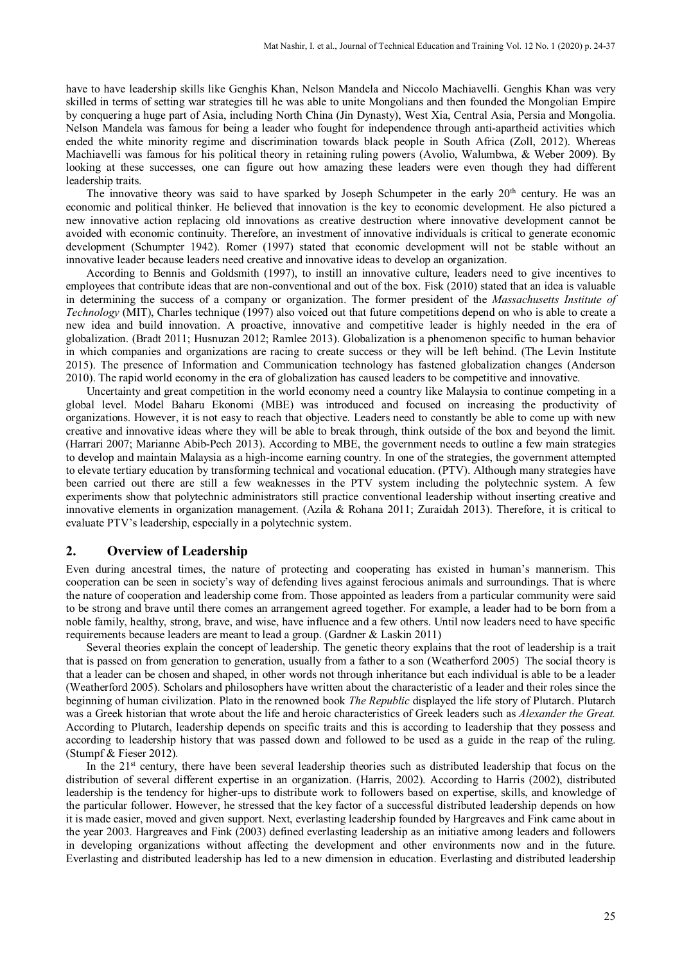have to have leadership skills like Genghis Khan, Nelson Mandela and Niccolo Machiavelli. Genghis Khan was very skilled in terms of setting war strategies till he was able to unite Mongolians and then founded the Mongolian Empire by conquering a huge part of Asia, including North China (Jin Dynasty), West Xia, Central Asia, Persia and Mongolia. Nelson Mandela was famous for being a leader who fought for independence through anti-apartheid activities which ended the white minority regime and discrimination towards black people in South Africa (Zoll, 2012). Whereas Machiavelli was famous for his political theory in retaining ruling powers (Avolio, Walumbwa, & Weber 2009). By looking at these successes, one can figure out how amazing these leaders were even though they had different leadership traits.

The innovative theory was said to have sparked by Joseph Schumpeter in the early 20<sup>th</sup> century. He was an economic and political thinker. He believed that innovation is the key to economic development. He also pictured a new innovative action replacing old innovations as creative destruction where innovative development cannot be avoided with economic continuity. Therefore, an investment of innovative individuals is critical to generate economic development (Schumpter 1942). Romer (1997) stated that economic development will not be stable without an innovative leader because leaders need creative and innovative ideas to develop an organization.

According to Bennis and Goldsmith (1997), to instill an innovative culture, leaders need to give incentives to employees that contribute ideas that are non-conventional and out of the box. Fisk (2010) stated that an idea is valuable in determining the success of a company or organization. The former president of the *Massachusetts Institute of Technology* (MIT), Charles technique (1997) also voiced out that future competitions depend on who is able to create a new idea and build innovation. A proactive, innovative and competitive leader is highly needed in the era of globalization. (Bradt 2011; Husnuzan 2012; Ramlee 2013). Globalization is a phenomenon specific to human behavior in which companies and organizations are racing to create success or they will be left behind. (The Levin Institute 2015). The presence of Information and Communication technology has fastened globalization changes (Anderson 2010). The rapid world economy in the era of globalization has caused leaders to be competitive and innovative.

Uncertainty and great competition in the world economy need a country like Malaysia to continue competing in a global level. Model Baharu Ekonomi (MBE) was introduced and focused on increasing the productivity of organizations. However, it is not easy to reach that objective. Leaders need to constantly be able to come up with new creative and innovative ideas where they will be able to break through, think outside of the box and beyond the limit. (Harrari 2007; Marianne Abib-Pech 2013). According to MBE, the government needs to outline a few main strategies to develop and maintain Malaysia as a high-income earning country. In one of the strategies, the government attempted to elevate tertiary education by transforming technical and vocational education. (PTV). Although many strategies have been carried out there are still a few weaknesses in the PTV system including the polytechnic system. A few experiments show that polytechnic administrators still practice conventional leadership without inserting creative and innovative elements in organization management. (Azila & Rohana 2011; Zuraidah 2013). Therefore, it is critical to evaluate PTV's leadership, especially in a polytechnic system.

#### **2. Overview of Leadership**

Even during ancestral times, the nature of protecting and cooperating has existed in human's mannerism. This cooperation can be seen in society's way of defending lives against ferocious animals and surroundings. That is where the nature of cooperation and leadership come from. Those appointed as leaders from a particular community were said to be strong and brave until there comes an arrangement agreed together. For example, a leader had to be born from a noble family, healthy, strong, brave, and wise, have influence and a few others. Until now leaders need to have specific requirements because leaders are meant to lead a group. (Gardner & Laskin 2011)

Several theories explain the concept of leadership. The genetic theory explains that the root of leadership is a trait that is passed on from generation to generation, usually from a father to a son (Weatherford 2005) The social theory is that a leader can be chosen and shaped, in other words not through inheritance but each individual is able to be a leader (Weatherford 2005). Scholars and philosophers have written about the characteristic of a leader and their roles since the beginning of human civilization. Plato in the renowned book *The Republic* displayed the life story of Plutarch. Plutarch was a Greek historian that wrote about the life and heroic characteristics of Greek leaders such as *Alexander the Great.*  According to Plutarch, leadership depends on specific traits and this is according to leadership that they possess and according to leadership history that was passed down and followed to be used as a guide in the reap of the ruling. (Stumpf & Fieser 2012)*.*

In the  $21<sup>st</sup>$  century, there have been several leadership theories such as distributed leadership that focus on the distribution of several different expertise in an organization. (Harris, 2002). According to Harris (2002), distributed leadership is the tendency for higher-ups to distribute work to followers based on expertise, skills, and knowledge of the particular follower. However, he stressed that the key factor of a successful distributed leadership depends on how it is made easier, moved and given support. Next, everlasting leadership founded by Hargreaves and Fink came about in the year 2003. Hargreaves and Fink (2003) defined everlasting leadership as an initiative among leaders and followers in developing organizations without affecting the development and other environments now and in the future. Everlasting and distributed leadership has led to a new dimension in education. Everlasting and distributed leadership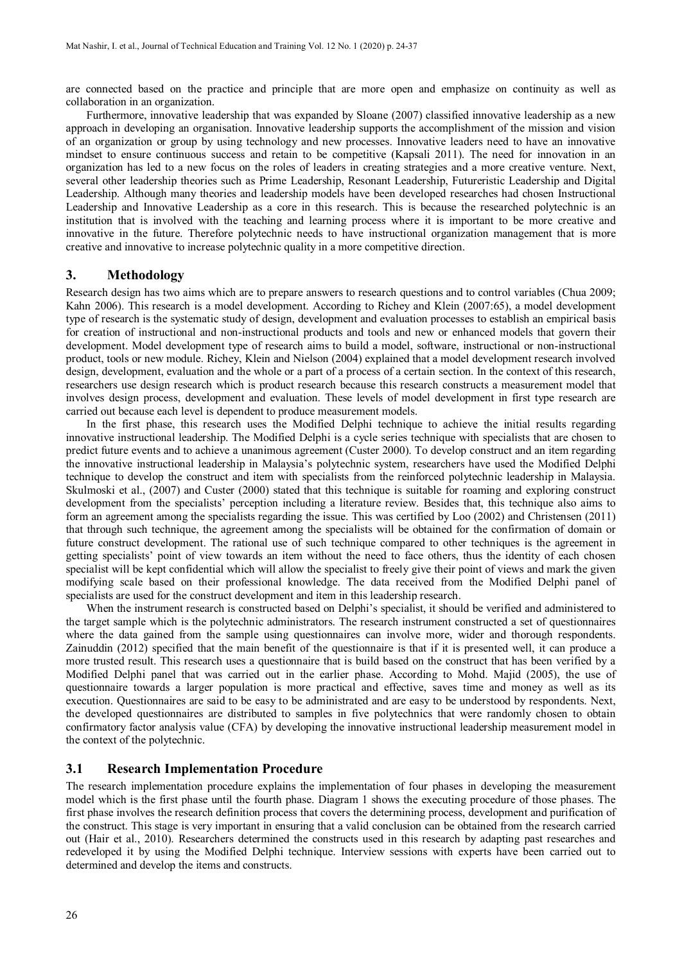are connected based on the practice and principle that are more open and emphasize on continuity as well as collaboration in an organization.

Furthermore, innovative leadership that was expanded by Sloane (2007) classified innovative leadership as a new approach in developing an organisation. Innovative leadership supports the accomplishment of the mission and vision of an organization or group by using technology and new processes. Innovative leaders need to have an innovative mindset to ensure continuous success and retain to be competitive (Kapsali 2011). The need for innovation in an organization has led to a new focus on the roles of leaders in creating strategies and a more creative venture. Next, several other leadership theories such as Prime Leadership, Resonant Leadership, Futureristic Leadership and Digital Leadership. Although many theories and leadership models have been developed researches had chosen Instructional Leadership and Innovative Leadership as a core in this research. This is because the researched polytechnic is an institution that is involved with the teaching and learning process where it is important to be more creative and innovative in the future. Therefore polytechnic needs to have instructional organization management that is more creative and innovative to increase polytechnic quality in a more competitive direction.

#### **3. Methodology**

Research design has two aims which are to prepare answers to research questions and to control variables (Chua 2009; Kahn 2006). This research is a model development. According to Richey and Klein (2007:65), a model development type of research is the systematic study of design, development and evaluation processes to establish an empirical basis for creation of instructional and non-instructional products and tools and new or enhanced models that govern their development. Model development type of research aims to build a model, software, instructional or non-instructional product, tools or new module. Richey, Klein and Nielson (2004) explained that a model development research involved design, development, evaluation and the whole or a part of a process of a certain section. In the context of this research, researchers use design research which is product research because this research constructs a measurement model that involves design process, development and evaluation. These levels of model development in first type research are carried out because each level is dependent to produce measurement models.

In the first phase, this research uses the Modified Delphi technique to achieve the initial results regarding innovative instructional leadership. The Modified Delphi is a cycle series technique with specialists that are chosen to predict future events and to achieve a unanimous agreement (Custer 2000). To develop construct and an item regarding the innovative instructional leadership in Malaysia's polytechnic system, researchers have used the Modified Delphi technique to develop the construct and item with specialists from the reinforced polytechnic leadership in Malaysia. Skulmoski et al., (2007) and Custer (2000) stated that this technique is suitable for roaming and exploring construct development from the specialists' perception including a literature review. Besides that, this technique also aims to form an agreement among the specialists regarding the issue. This was certified by Loo (2002) and Christensen (2011) that through such technique, the agreement among the specialists will be obtained for the confirmation of domain or future construct development. The rational use of such technique compared to other techniques is the agreement in getting specialists' point of view towards an item without the need to face others, thus the identity of each chosen specialist will be kept confidential which will allow the specialist to freely give their point of views and mark the given modifying scale based on their professional knowledge. The data received from the Modified Delphi panel of specialists are used for the construct development and item in this leadership research.

When the instrument research is constructed based on Delphi's specialist, it should be verified and administered to the target sample which is the polytechnic administrators. The research instrument constructed a set of questionnaires where the data gained from the sample using questionnaires can involve more, wider and thorough respondents. Zainuddin (2012) specified that the main benefit of the questionnaire is that if it is presented well, it can produce a more trusted result. This research uses a questionnaire that is build based on the construct that has been verified by a Modified Delphi panel that was carried out in the earlier phase. According to Mohd. Majid (2005), the use of questionnaire towards a larger population is more practical and effective, saves time and money as well as its execution. Questionnaires are said to be easy to be administrated and are easy to be understood by respondents. Next, the developed questionnaires are distributed to samples in five polytechnics that were randomly chosen to obtain confirmatory factor analysis value (CFA) by developing the innovative instructional leadership measurement model in the context of the polytechnic.

#### **3.1 Research Implementation Procedure**

The research implementation procedure explains the implementation of four phases in developing the measurement model which is the first phase until the fourth phase. Diagram 1 shows the executing procedure of those phases. The first phase involves the research definition process that covers the determining process, development and purification of the construct. This stage is very important in ensuring that a valid conclusion can be obtained from the research carried out (Hair et al., 2010). Researchers determined the constructs used in this research by adapting past researches and redeveloped it by using the Modified Delphi technique. Interview sessions with experts have been carried out to determined and develop the items and constructs.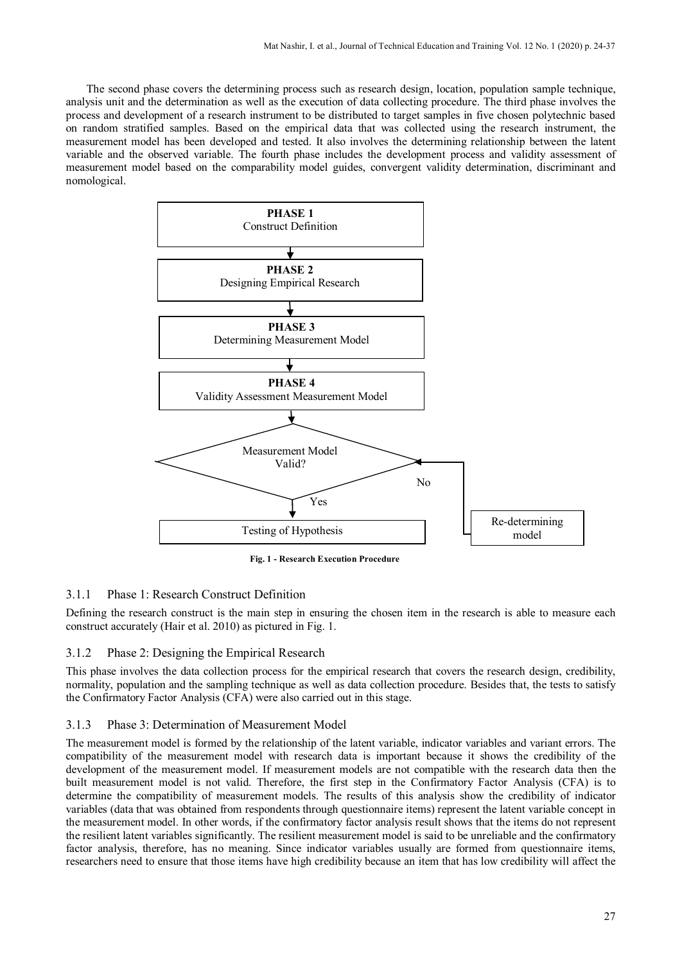The second phase covers the determining process such as research design, location, population sample technique, analysis unit and the determination as well as the execution of data collecting procedure. The third phase involves the process and development of a research instrument to be distributed to target samples in five chosen polytechnic based on random stratified samples. Based on the empirical data that was collected using the research instrument, the measurement model has been developed and tested. It also involves the determining relationship between the latent variable and the observed variable. The fourth phase includes the development process and validity assessment of measurement model based on the comparability model guides, convergent validity determination, discriminant and nomological.



**Fig. 1 - Research Execution Procedure**

## 3.1.1 Phase 1: Research Construct Definition

Defining the research construct is the main step in ensuring the chosen item in the research is able to measure each construct accurately (Hair et al. 2010) as pictured in Fig. 1.

#### 3.1.2 Phase 2: Designing the Empirical Research

This phase involves the data collection process for the empirical research that covers the research design, credibility, normality, population and the sampling technique as well as data collection procedure. Besides that, the tests to satisfy the Confirmatory Factor Analysis (CFA) were also carried out in this stage.

#### 3.1.3 Phase 3: Determination of Measurement Model

The measurement model is formed by the relationship of the latent variable, indicator variables and variant errors. The compatibility of the measurement model with research data is important because it shows the credibility of the development of the measurement model. If measurement models are not compatible with the research data then the built measurement model is not valid. Therefore, the first step in the Confirmatory Factor Analysis (CFA) is to determine the compatibility of measurement models. The results of this analysis show the credibility of indicator variables (data that was obtained from respondents through questionnaire items) represent the latent variable concept in the measurement model. In other words, if the confirmatory factor analysis result shows that the items do not represent the resilient latent variables significantly. The resilient measurement model is said to be unreliable and the confirmatory factor analysis, therefore, has no meaning. Since indicator variables usually are formed from questionnaire items, researchers need to ensure that those items have high credibility because an item that has low credibility will affect the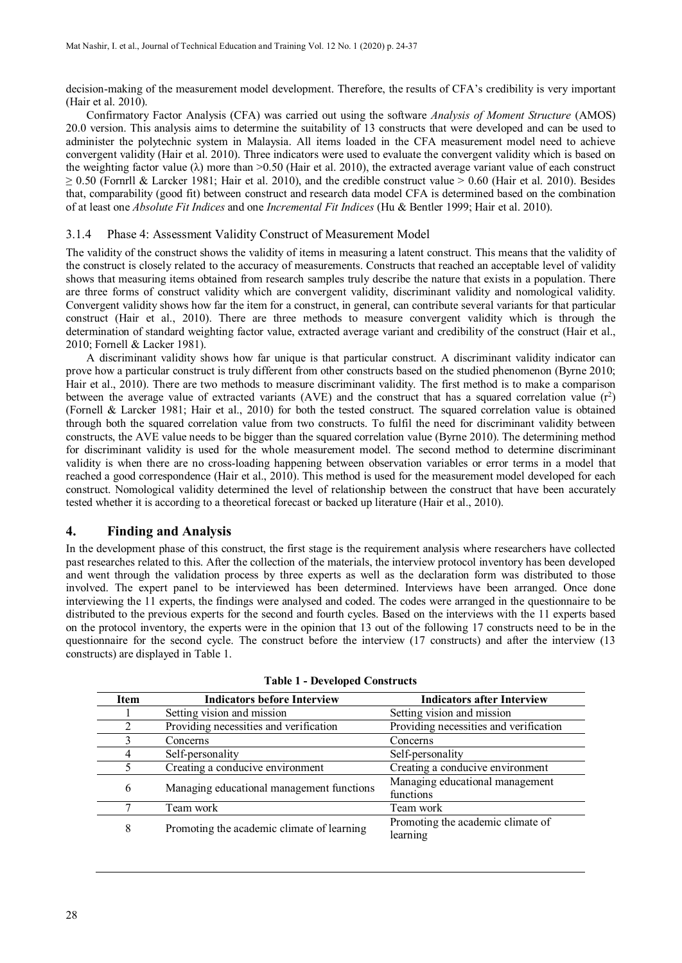decision-making of the measurement model development. Therefore, the results of CFA's credibility is very important (Hair et al. 2010).

Confirmatory Factor Analysis (CFA) was carried out using the software *Analysis of Moment Structure* (AMOS) 20.0 version. This analysis aims to determine the suitability of 13 constructs that were developed and can be used to administer the polytechnic system in Malaysia. All items loaded in the CFA measurement model need to achieve convergent validity (Hair et al. 2010). Three indicators were used to evaluate the convergent validity which is based on the weighting factor value  $(\lambda)$  more than >0.50 (Hair et al. 2010), the extracted average variant value of each construct  $\geq$  0.50 (Fornrll & Larcker 1981; Hair et al. 2010), and the credible construct value  $>$  0.60 (Hair et al. 2010). Besides that, comparability (good fit) between construct and research data model CFA is determined based on the combination of at least one *Absolute Fit Indices* and one *Incremental Fit Indices* (Hu & Bentler 1999; Hair et al. 2010).

#### 3.1.4 Phase 4: Assessment Validity Construct of Measurement Model

The validity of the construct shows the validity of items in measuring a latent construct. This means that the validity of the construct is closely related to the accuracy of measurements. Constructs that reached an acceptable level of validity shows that measuring items obtained from research samples truly describe the nature that exists in a population. There are three forms of construct validity which are convergent validity, discriminant validity and nomological validity. Convergent validity shows how far the item for a construct, in general, can contribute several variants for that particular construct (Hair et al., 2010). There are three methods to measure convergent validity which is through the determination of standard weighting factor value, extracted average variant and credibility of the construct (Hair et al., 2010; Fornell & Lacker 1981).

A discriminant validity shows how far unique is that particular construct. A discriminant validity indicator can prove how a particular construct is truly different from other constructs based on the studied phenomenon (Byrne 2010; Hair et al., 2010). There are two methods to measure discriminant validity. The first method is to make a comparison between the average value of extracted variants (AVE) and the construct that has a squared correlation value  $(r^2)$ (Fornell & Larcker 1981; Hair et al., 2010) for both the tested construct. The squared correlation value is obtained through both the squared correlation value from two constructs. To fulfil the need for discriminant validity between constructs, the AVE value needs to be bigger than the squared correlation value (Byrne 2010). The determining method for discriminant validity is used for the whole measurement model. The second method to determine discriminant validity is when there are no cross-loading happening between observation variables or error terms in a model that reached a good correspondence (Hair et al., 2010). This method is used for the measurement model developed for each construct. Nomological validity determined the level of relationship between the construct that have been accurately tested whether it is according to a theoretical forecast or backed up literature (Hair et al., 2010).

## **4. Finding and Analysis**

In the development phase of this construct, the first stage is the requirement analysis where researchers have collected past researches related to this. After the collection of the materials, the interview protocol inventory has been developed and went through the validation process by three experts as well as the declaration form was distributed to those involved. The expert panel to be interviewed has been determined. Interviews have been arranged. Once done interviewing the 11 experts, the findings were analysed and coded. The codes were arranged in the questionnaire to be distributed to the previous experts for the second and fourth cycles. Based on the interviews with the 11 experts based on the protocol inventory, the experts were in the opinion that 13 out of the following 17 constructs need to be in the questionnaire for the second cycle. The construct before the interview (17 constructs) and after the interview (13 constructs) are displayed in Table 1.

| <b>Item</b>    | <b>Indicators before Interview</b>         | <b>Indicators after Interview</b>             |
|----------------|--------------------------------------------|-----------------------------------------------|
|                | Setting vision and mission                 | Setting vision and mission                    |
| $\mathfrak{D}$ | Providing necessities and verification     | Providing necessities and verification        |
|                | Concerns                                   | Concerns                                      |
| 4              | Self-personality                           | Self-personality                              |
|                | Creating a conducive environment           | Creating a conducive environment              |
| 6              | Managing educational management functions  | Managing educational management<br>functions  |
|                | Team work                                  | Team work                                     |
| 8              | Promoting the academic climate of learning | Promoting the academic climate of<br>learning |

**Table 1 - Developed Constructs**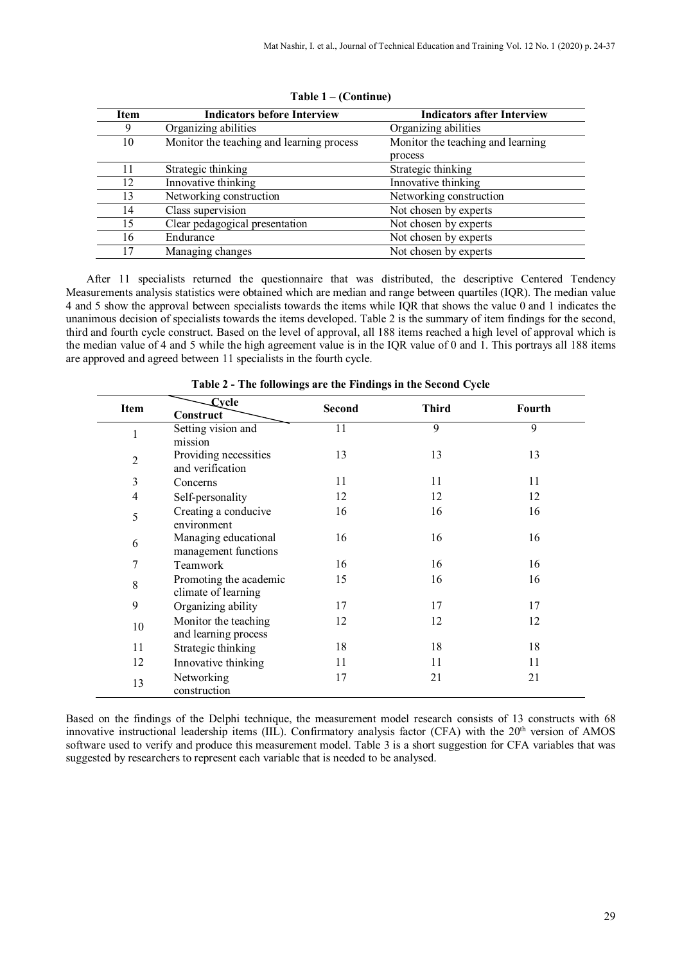| <b>Item</b> | <b>Indicators before Interview</b>        | <b>Indicators after Interview</b> |
|-------------|-------------------------------------------|-----------------------------------|
| 9           | Organizing abilities                      | Organizing abilities              |
| 10          | Monitor the teaching and learning process | Monitor the teaching and learning |
|             |                                           | process                           |
| 11          | Strategic thinking                        | Strategic thinking                |
| 12          | Innovative thinking                       | Innovative thinking               |
| 13          | Networking construction                   | Networking construction           |
| 14          | Class supervision                         | Not chosen by experts             |
| 15          | Clear pedagogical presentation            | Not chosen by experts             |
| 16          | Endurance                                 | Not chosen by experts             |
| 17          | Managing changes                          | Not chosen by experts             |
|             |                                           |                                   |

**Table 1 – (Continue)**

After 11 specialists returned the questionnaire that was distributed, the descriptive Centered Tendency Measurements analysis statistics were obtained which are median and range between quartiles (IQR). The median value 4 and 5 show the approval between specialists towards the items while IQR that shows the value 0 and 1 indicates the unanimous decision of specialists towards the items developed. Table 2 is the summary of item findings for the second, third and fourth cycle construct. Based on the level of approval, all 188 items reached a high level of approval which is the median value of 4 and 5 while the high agreement value is in the IQR value of 0 and 1. This portrays all 188 items are approved and agreed between 11 specialists in the fourth cycle.

|                | <b>Evcle</b>           |        |              |               |
|----------------|------------------------|--------|--------------|---------------|
| Item           | Construct              | Second | <b>Third</b> | <b>Fourth</b> |
| 1              | Setting vision and     | 11     | 9            | 9             |
|                | mission                |        |              |               |
| 2              | Providing necessities  | 13     | 13           | 13            |
|                | and verification       |        |              |               |
| 3              | Concerns               | 11     | 11           | 11            |
| $\overline{4}$ | Self-personality       | 12     | 12           | 12            |
|                | Creating a conducive   | 16     | 16           | 16            |
| 5              | environment            |        |              |               |
| 6              | Managing educational   | 16     | 16           | 16            |
|                | management functions   |        |              |               |
| 7              | Teamwork               | 16     | 16           | 16            |
| 8              | Promoting the academic | 15     | 16           | 16            |
|                | climate of learning    |        |              |               |
| 9              | Organizing ability     | 17     | 17           | 17            |
|                | Monitor the teaching   | 12     | 12           | 12            |
| 10             | and learning process   |        |              |               |
| 11             | Strategic thinking     | 18     | 18           | 18            |
| 12             | Innovative thinking    | 11     | 11           | 11            |
|                | Networking             | 17     | 21           | 21            |
| 13             | construction           |        |              |               |

**Table 2 - The followings are the Findings in the Second Cycle**

Based on the findings of the Delphi technique, the measurement model research consists of 13 constructs with 68 innovative instructional leadership items (IIL). Confirmatory analysis factor (CFA) with the 20<sup>th</sup> version of AMOS software used to verify and produce this measurement model. Table 3 is a short suggestion for CFA variables that was suggested by researchers to represent each variable that is needed to be analysed.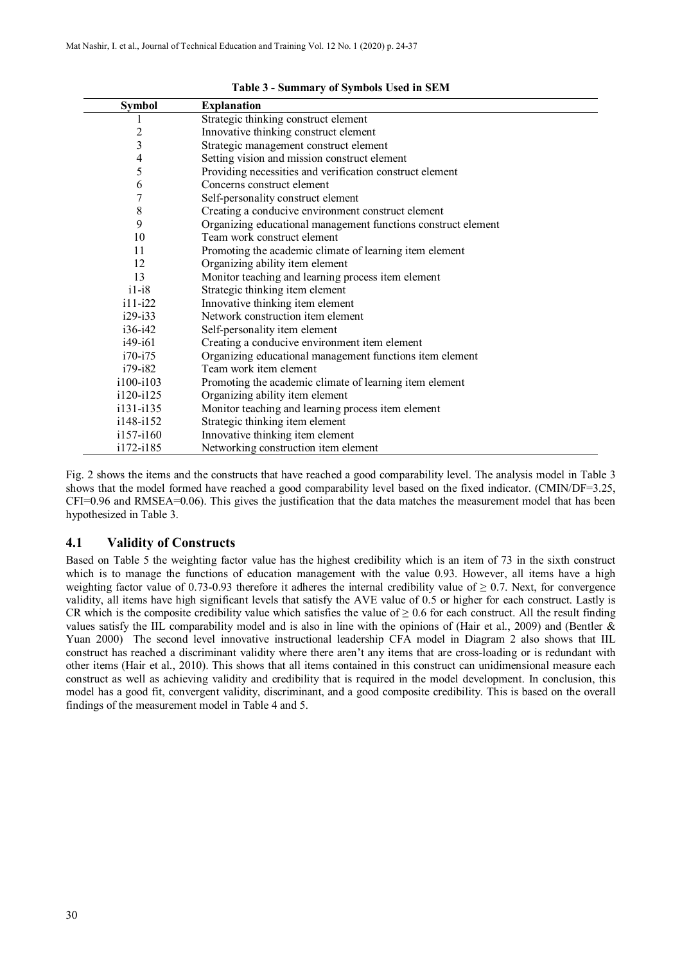| <b>Symbol</b>  | <b>Explanation</b>                                            |
|----------------|---------------------------------------------------------------|
|                | Strategic thinking construct element                          |
| 2              | Innovative thinking construct element                         |
| 3              | Strategic management construct element                        |
| $\overline{4}$ | Setting vision and mission construct element                  |
| 5              | Providing necessities and verification construct element      |
| 6              | Concerns construct element                                    |
| 7              | Self-personality construct element                            |
| $\,$ 8 $\,$    | Creating a conducive environment construct element            |
| 9              | Organizing educational management functions construct element |
| 10             | Team work construct element                                   |
| 11             | Promoting the academic climate of learning item element       |
| 12             | Organizing ability item element                               |
| 13             | Monitor teaching and learning process item element            |
| $i1-i8$        | Strategic thinking item element                               |
| $i11 - i22$    | Innovative thinking item element                              |
| $i29 - i33$    | Network construction item element                             |
| $i36-i42$      | Self-personality item element                                 |
| i49-i61        | Creating a conducive environment item element                 |
| $i70 - i75$    | Organizing educational management functions item element      |
| i79-i82        | Team work item element                                        |
| i100-i103      | Promoting the academic climate of learning item element       |
| i120-i125      | Organizing ability item element                               |
| i131-i135      | Monitor teaching and learning process item element            |
| i148-i152      | Strategic thinking item element                               |
| $i157 - i160$  | Innovative thinking item element                              |
| i172-i185      | Networking construction item element                          |

**Table 3 - Summary of Symbols Used in SEM**

Fig. 2 shows the items and the constructs that have reached a good comparability level. The analysis model in Table 3 shows that the model formed have reached a good comparability level based on the fixed indicator. (CMIN/DF=3.25, CFI=0.96 and RMSEA=0.06). This gives the justification that the data matches the measurement model that has been hypothesized in Table 3.

## **4.1 Validity of Constructs**

Based on Table 5 the weighting factor value has the highest credibility which is an item of 73 in the sixth construct which is to manage the functions of education management with the value 0.93. However, all items have a high weighting factor value of 0.73-0.93 therefore it adheres the internal credibility value of  $\geq 0.7$ . Next, for convergence validity, all items have high significant levels that satisfy the AVE value of 0.5 or higher for each construct. Lastly is CR which is the composite credibility value which satisfies the value of  $\geq 0.6$  for each construct. All the result finding values satisfy the IIL comparability model and is also in line with the opinions of (Hair et al., 2009) and (Bentler  $\&$ Yuan 2000) The second level innovative instructional leadership CFA model in Diagram 2 also shows that IIL construct has reached a discriminant validity where there aren't any items that are cross-loading or is redundant with other items (Hair et al., 2010). This shows that all items contained in this construct can unidimensional measure each construct as well as achieving validity and credibility that is required in the model development. In conclusion, this model has a good fit, convergent validity, discriminant, and a good composite credibility. This is based on the overall findings of the measurement model in Table 4 and 5.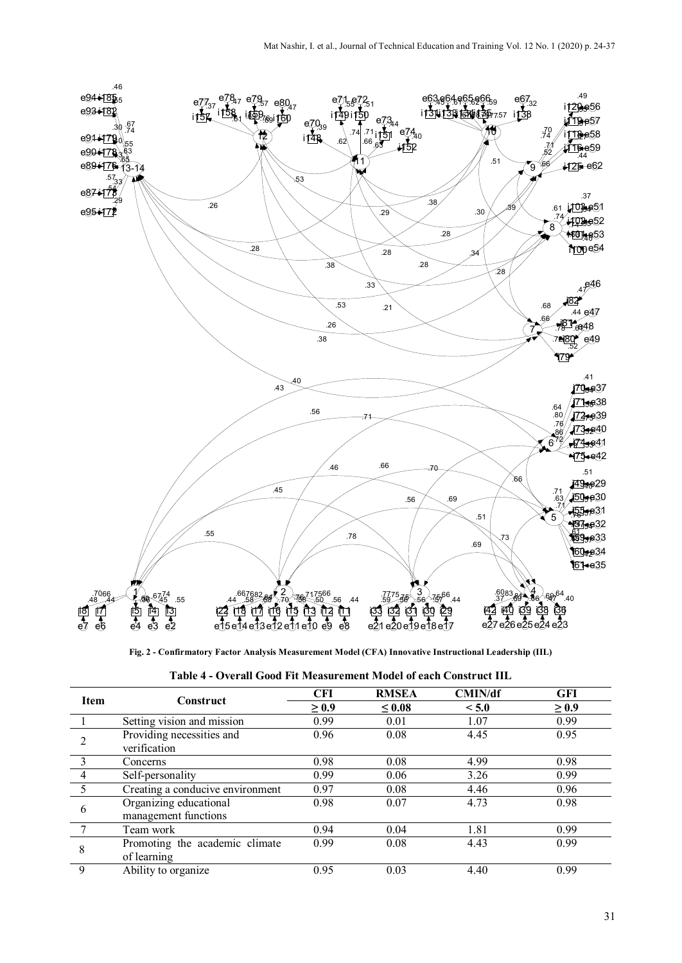

**Fig. 2 - Confirmatory Factor Analysis Measurement Model (CFA) Innovative Instructional Leadership (IIL)**

| Table 4 - Overall Good Fit Measurement Model of each Construct IIL |  |
|--------------------------------------------------------------------|--|
|--------------------------------------------------------------------|--|

| <b>Item</b>  | Construct                                      | <b>CFI</b> | <b>RMSEA</b> | <b>CMIN/df</b> | <b>GFI</b> |
|--------------|------------------------------------------------|------------|--------------|----------------|------------|
|              |                                                | $\geq 0.9$ | $\leq 0.08$  | < 5.0          | $\geq 0.9$ |
|              | Setting vision and mission                     | 0.99       | 0.01         | 1.07           | 0.99       |
|              | Providing necessities and<br>verification      | 0.96       | 0.08         | 4.45           | 0.95       |
|              | Concerns                                       | 0.98       | 0.08         | 4.99           | 0.98       |
|              | Self-personality                               | 0.99       | 0.06         | 3.26           | 0.99       |
|              | Creating a conducive environment               | 0.97       | 0.08         | 4.46           | 0.96       |
| 6            | Organizing educational<br>management functions | 0.98       | 0.07         | 4.73           | 0.98       |
|              | Team work                                      | 0.94       | 0.04         | 1.81           | 0.99       |
| 8            | Promoting the academic climate<br>of learning  | 0.99       | 0.08         | 4.43           | 0.99       |
| $\mathbf{Q}$ | Ability to organize                            | 0.95       | 0.03         | 4.40           | 0.99       |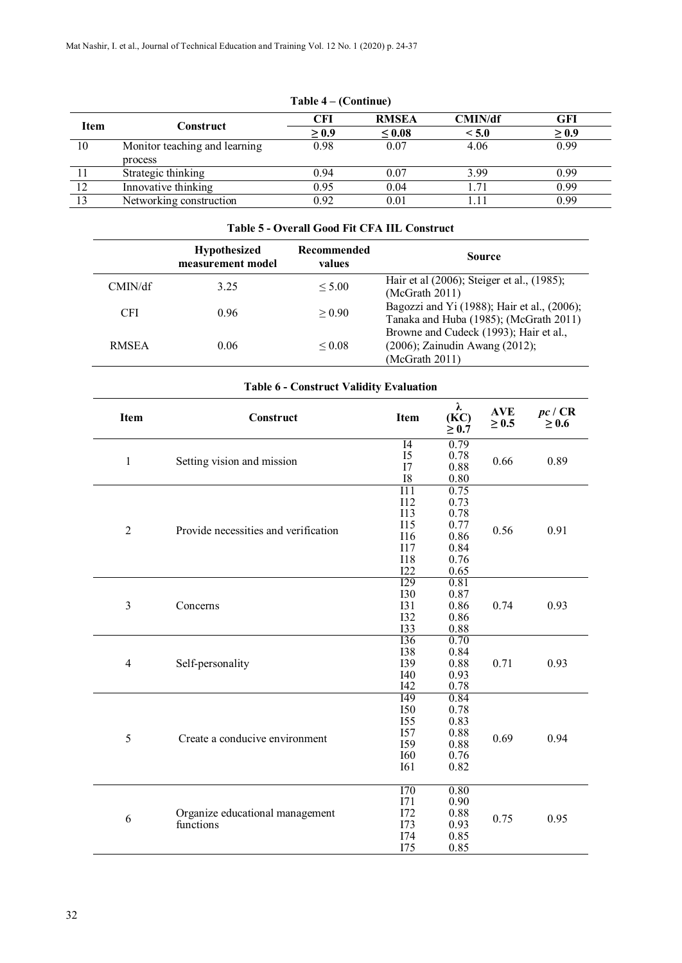|             | 1 apie 4 – (Continue)         |            |              |         |            |  |
|-------------|-------------------------------|------------|--------------|---------|------------|--|
| <b>Item</b> | Construct                     | <b>CFI</b> | <b>RMSEA</b> | CMIN/df | <b>GFI</b> |  |
|             |                               | $\geq 0.9$ | $\leq 0.08$  | < 5.0   | $\geq 0.9$ |  |
| 10          | Monitor teaching and learning | 0.98       | 0.07         | 4.06    | 0.99       |  |
|             | process                       |            |              |         |            |  |
|             | Strategic thinking            | 0.94       | 0.07         | 3.99    | 0.99       |  |
| 12          | Innovative thinking           | 0.95       | 0.04         | 1.71    | 0.99       |  |
| 13          | Networking construction       | 0.92       | 0.01         |         | 0.99       |  |

# **Table 4 – (Continue)**

### **Table 5 - Overall Good Fit CFA IIL Construct**

|              | <b>Hypothesized</b><br>measurement model | Recommended<br>values | <b>Source</b>                                                                              |
|--------------|------------------------------------------|-----------------------|--------------------------------------------------------------------------------------------|
| CMIN/df      | 3.25                                     | < 5.00                | Hair et al (2006); Steiger et al., (1985);<br>(McGrath 2011)                               |
| <b>CFI</b>   | 0.96                                     | > 0.90                | Bagozzi and Yi (1988); Hair et al., (2006);<br>Tanaka and Huba (1985); (McGrath 2011)      |
| <b>RMSEA</b> | 0.06                                     | ${}_{0.08}$           | Browne and Cudeck (1993); Hair et al.,<br>(2006); Zainudin Awang (2012);<br>(McGrath 2011) |

| Item           | Construct                                    | <b>Item</b>                                                                      | λ<br>(KC)<br>$\geq 0.7$                                      | <b>AVE</b><br>$\geq 0.5$ | pc/CR<br>$\geq 0.6$ |
|----------------|----------------------------------------------|----------------------------------------------------------------------------------|--------------------------------------------------------------|--------------------------|---------------------|
| $\mathbf{1}$   | Setting vision and mission                   | I4<br>I5<br>I7<br><b>I8</b>                                                      | 0.79<br>0.78<br>0.88<br>0.80                                 | 0.66                     | 0.89                |
| $\overline{2}$ | Provide necessities and verification         | 111<br><b>I12</b><br><b>I13</b><br><b>I15</b><br>I16<br>I17<br><b>I18</b><br>I22 | 0.75<br>0.73<br>0.78<br>0.77<br>0.86<br>0.84<br>0.76<br>0.65 | 0.56                     | 0.91                |
| 3              | Concerns                                     | I29<br><b>I30</b><br><b>I31</b><br><b>I32</b><br><b>I33</b>                      | 0.81<br>0.87<br>0.86<br>0.86<br>0.88                         | 0.74                     | 0.93                |
| 4              | Self-personality                             | <b>I36</b><br><b>I38</b><br><b>I39</b><br>I40<br>I42                             | 0.70<br>0.84<br>0.88<br>0.93<br>0.78                         | 0.71                     | 0.93                |
| 5              | Create a conducive environment               | I49<br><b>I50</b><br><b>I55</b><br>I57<br><b>I59</b><br><b>I60</b><br><b>I61</b> | 0.84<br>0.78<br>0.83<br>0.88<br>0.88<br>0.76<br>0.82         | 0.69                     | 0.94                |
| 6              | Organize educational management<br>functions | <b>I70</b><br>I71<br>I72<br>I73<br>I74<br>I75                                    | 0.80<br>0.90<br>0.88<br>0.93<br>0.85<br>0.85                 | 0.75                     | 0.95                |

# **Table 6 - Construct Validity Evaluation**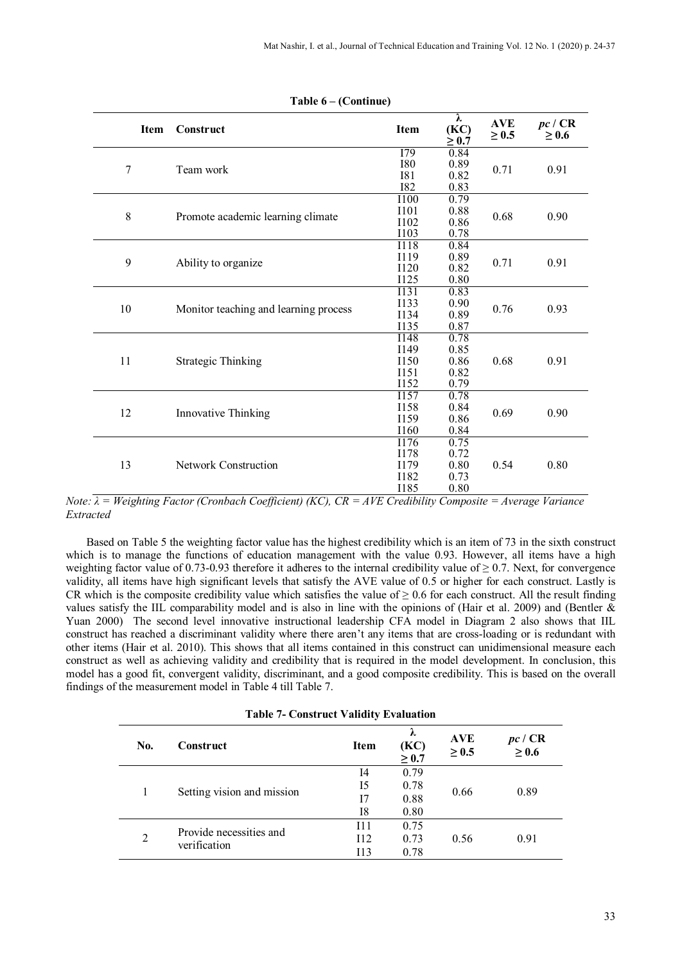|       | <b>Item</b> | Construct                             | Item                       | λ<br>(KC)<br>$\geq 0.7$ | <b>AVE</b><br>$\geq 0.5$ | pc/CR<br>$\geq 0.6$ |
|-------|-------------|---------------------------------------|----------------------------|-------------------------|--------------------------|---------------------|
|       |             |                                       | I79                        | 0.84                    |                          |                     |
| 7     |             | Team work                             | <b>I80</b>                 | 0.89                    | 0.71                     | 0.91                |
|       |             |                                       | <b>I81</b>                 | 0.82                    |                          |                     |
|       |             |                                       | <b>I82</b>                 | 0.83                    |                          |                     |
|       |             |                                       | <b>I100</b>                | 0.79                    |                          |                     |
| $8\,$ |             | Promote academic learning climate     | I101                       | 0.88                    | 0.68                     | 0.90                |
|       |             |                                       | <b>I102</b>                | 0.86                    |                          |                     |
|       |             |                                       | <b>I103</b><br><b>I118</b> | 0.78<br>0.84            |                          |                     |
|       |             |                                       | I119                       | 0.89                    |                          | 0.91                |
| 9     |             | Ability to organize                   | <b>I120</b>                | 0.82                    | 0.71                     |                     |
|       |             |                                       | <b>I125</b>                | $0.80\,$                |                          |                     |
|       |             |                                       | I131                       | 0.83                    |                          |                     |
|       |             |                                       | <b>I133</b>                | 0.90                    |                          |                     |
| 10    |             | Monitor teaching and learning process | <b>I134</b>                | 0.89                    | 0.76                     | 0.93                |
|       |             |                                       | <b>I135</b>                | 0.87                    |                          |                     |
|       |             |                                       | <b>I148</b>                | 0.78                    |                          |                     |
|       |             | <b>Strategic Thinking</b>             | I149                       | 0.85                    |                          |                     |
| 11    |             |                                       | I150                       | 0.86                    | 0.68                     | 0.91                |
|       |             |                                       | I151                       | 0.82                    |                          |                     |
|       |             |                                       | I152                       | 0.79                    |                          |                     |
|       |             |                                       | I157                       | 0.78                    |                          |                     |
|       |             |                                       | <b>I158</b>                | 0.84                    |                          |                     |
| 12    |             | Innovative Thinking                   | I159                       | 0.86                    | 0.69                     | 0.90                |
|       |             |                                       | I160                       | 0.84                    |                          |                     |
|       |             |                                       | I176                       | 0.75                    |                          |                     |
|       |             |                                       | I178                       | 0.72                    |                          |                     |
| 13    |             | Network Construction                  | I179                       | 0.80                    | 0.54                     | 0.80                |
|       |             |                                       | <b>I182</b>                | 0.73                    |                          |                     |
|       |             |                                       | I185                       | 0.80                    |                          |                     |

**Table 6 – (Continue)**

*Note: λ = Weighting Factor (Cronbach Coefficient) (KC), CR = AVE Credibility Composite = Average Variance Extracted*

Based on Table 5 the weighting factor value has the highest credibility which is an item of 73 in the sixth construct which is to manage the functions of education management with the value 0.93. However, all items have a high weighting factor value of 0.73-0.93 therefore it adheres to the internal credibility value of  $\geq$  0.7. Next, for convergence validity, all items have high significant levels that satisfy the AVE value of 0.5 or higher for each construct. Lastly is CR which is the composite credibility value which satisfies the value of  $\geq 0.6$  for each construct. All the result finding values satisfy the IIL comparability model and is also in line with the opinions of (Hair et al. 2009) and (Bentler  $\&$ Yuan 2000) The second level innovative instructional leadership CFA model in Diagram 2 also shows that IIL construct has reached a discriminant validity where there aren't any items that are cross-loading or is redundant with other items (Hair et al. 2010). This shows that all items contained in this construct can unidimensional measure each construct as well as achieving validity and credibility that is required in the model development. In conclusion, this model has a good fit, convergent validity, discriminant, and a good composite credibility. This is based on the overall findings of the measurement model in Table 4 till Table 7.

| No.            | Construct                  | <b>Item</b> | λ<br>(KC)<br>$\geq 0.7$ | <b>AVE</b><br>$\geq 0.5$ | pc / CR<br>$\geq 0.6$ |
|----------------|----------------------------|-------------|-------------------------|--------------------------|-----------------------|
|                |                            | I4          | 0.79                    |                          |                       |
|                | Setting vision and mission | I5          | 0.78                    | 0.66                     | 0.89                  |
|                |                            | 17          | 0.88                    |                          |                       |
|                |                            | I8          | 0.80                    |                          |                       |
| $\overline{2}$ |                            | I11         | 0.75                    |                          |                       |
|                | Provide necessities and    | I12         | 0.73                    | 0.56                     | 0.91                  |
|                | verification               | 113         | 0.78                    |                          |                       |
|                |                            |             |                         |                          |                       |

**Table 7- Construct Validity Evaluation**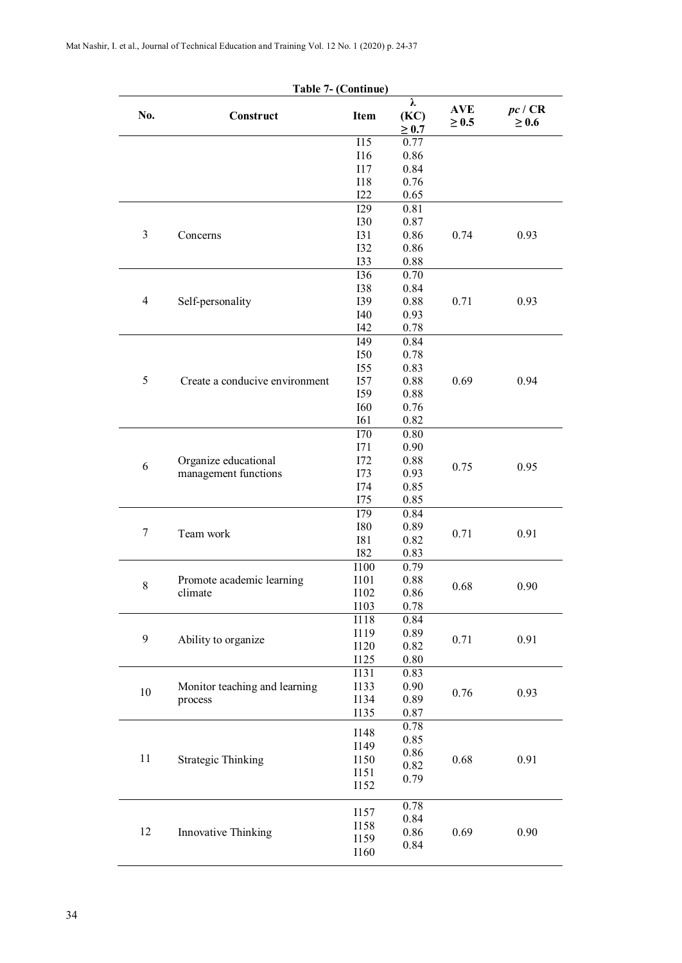|                | Table 7- (Continue)            |                     |                         |                          |                       |
|----------------|--------------------------------|---------------------|-------------------------|--------------------------|-----------------------|
| No.            | Construct                      | Item                | λ<br>(KC)<br>$\geq 0.7$ | <b>AVE</b><br>$\geq 0.5$ | pc / CR<br>$\geq 0.6$ |
|                |                                | $\overline{115}$    | 0.77                    |                          |                       |
|                |                                | <b>I16</b>          | 0.86                    |                          |                       |
|                |                                | $117$               | 0.84                    |                          |                       |
|                |                                | <b>I18</b>          | 0.76                    |                          |                       |
|                |                                | I22                 | 0.65                    |                          |                       |
|                |                                | <b>I29</b>          | 0.81                    |                          |                       |
|                |                                | <b>I30</b>          | 0.87                    |                          |                       |
| 3              | Concerns                       | <b>I31</b>          | 0.86                    | 0.74                     | 0.93                  |
|                |                                | <b>I32</b>          | 0.86                    |                          |                       |
|                |                                | 133                 | 0.88                    |                          |                       |
|                |                                | <b>I36</b>          | 0.70                    |                          |                       |
|                |                                | <b>I38</b>          | 0.84                    |                          |                       |
| $\overline{4}$ | Self-personality               | 139                 | 0.88                    | 0.71                     | 0.93                  |
|                |                                | <b>I40</b>          | 0.93                    |                          |                       |
|                |                                | I42                 | 0.78                    |                          |                       |
|                |                                | <b>I49</b>          | 0.84                    |                          |                       |
|                |                                | <b>I50</b>          | 0.78                    |                          |                       |
|                |                                | <b>I55</b>          | 0.83                    |                          |                       |
| 5              | Create a conducive environment | <b>I57</b>          | 0.88                    | 0.69                     | 0.94                  |
|                |                                | I59<br><b>I60</b>   | 0.88                    |                          |                       |
|                |                                | <b>I61</b>          | 0.76                    |                          |                       |
|                |                                | I70                 | 0.82<br>0.80            |                          |                       |
|                |                                | I71                 | 0.90                    |                          |                       |
|                | Organize educational           | I72                 | 0.88                    |                          |                       |
| 6              | management functions           | 173                 | 0.93                    | 0.75                     | 0.95                  |
|                |                                | <b>I74</b>          | 0.85                    |                          |                       |
|                |                                | I75                 | 0.85                    |                          |                       |
|                |                                | I79                 | 0.84                    |                          |                       |
|                |                                | <b>I80</b>          | 0.89                    |                          |                       |
| 7              | Team work                      | <b>I81</b>          | 0.82                    | 0.71                     | 0.91                  |
|                |                                | <b>I82</b>          | 0.83                    |                          |                       |
|                |                                | <b>I100</b>         | 0.79                    |                          |                       |
| $\,$ $\,$      | Promote academic learning      | I101                | 0.88                    | 0.68                     | 0.90                  |
|                | climate                        | I102                | 0.86                    |                          |                       |
|                |                                | <b>I103</b>         | 0.78                    |                          |                       |
|                |                                | <b>I118</b>         | 0.84                    |                          |                       |
| 9              | Ability to organize            | I119                | 0.89                    | 0.71                     | 0.91                  |
|                |                                | <b>I120</b>         | 0.82                    |                          |                       |
|                |                                | <b>I125</b>         | $0.80\,$                |                          |                       |
|                |                                | <b>I131</b>         | 0.83                    |                          |                       |
| $10\,$         | Monitor teaching and learning  | <b>I133</b>         | 0.90                    | 0.76                     | 0.93                  |
|                | process                        | <b>I134</b>         | 0.89<br>0.87            |                          |                       |
|                |                                | <b>I135</b>         |                         |                          |                       |
|                |                                | <b>I148</b>         | 0.78<br>0.85            |                          |                       |
|                |                                | I149                | 0.86                    |                          |                       |
| 11             | <b>Strategic Thinking</b>      | <b>I150</b>         | 0.82                    | 0.68                     | 0.91                  |
|                |                                | I151                | 0.79                    |                          |                       |
|                |                                | <b>I152</b>         |                         |                          |                       |
|                |                                |                     | 0.78                    |                          |                       |
|                |                                | I157                | 0.84                    |                          |                       |
| 12             | Innovative Thinking            | <b>I158</b><br>I159 | 0.86                    | 0.69                     | 0.90                  |
|                |                                | <b>I160</b>         | 0.84                    |                          |                       |
|                |                                |                     |                         |                          |                       |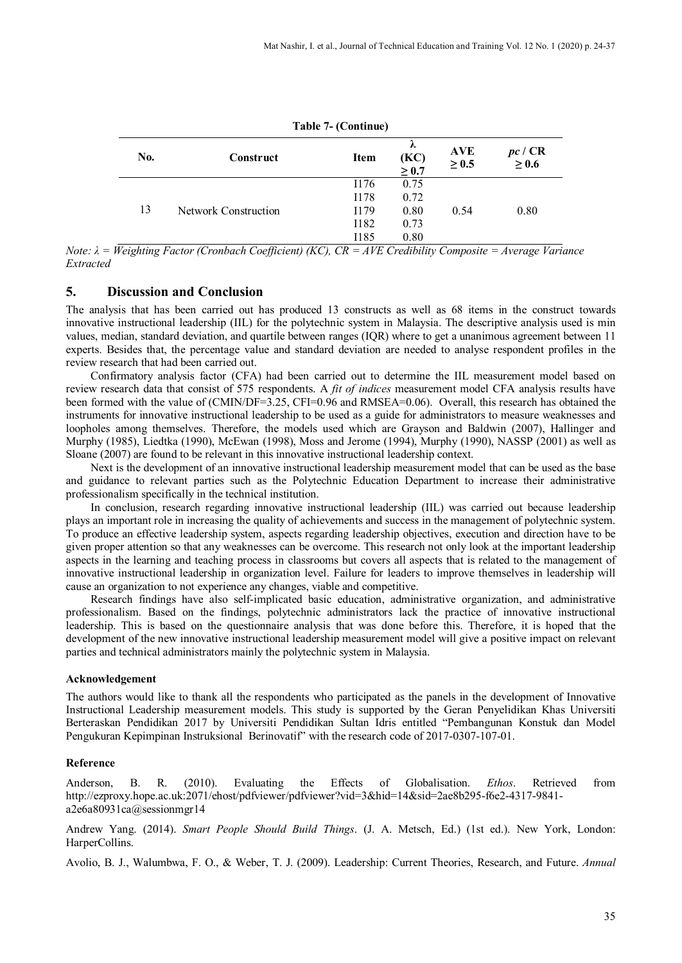| No. | Construct            | <b>Item</b> | λ<br>(KC)<br>$\geq 0.7$ | <b>AVE</b><br>$\geq 0.5$ | pc/CR<br>$\geq 0.6$ |
|-----|----------------------|-------------|-------------------------|--------------------------|---------------------|
| 13  | Network Construction | I176        | 0.75                    | 0.54                     | 0.80                |
|     |                      | I178        | 0.72                    |                          |                     |
|     |                      | I179        | 0.80                    |                          |                     |
|     |                      | I182        | 0.73                    |                          |                     |
|     |                      | I185        | 0.80                    |                          |                     |

**Table 7- (Continue)**

*Note: λ = Weighting Factor (Cronbach Coefficient) (KC), CR = AVE Credibility Composite = Average Variance Extracted*

#### **5. Discussion and Conclusion**

The analysis that has been carried out has produced 13 constructs as well as 68 items in the construct towards innovative instructional leadership (IIL) for the polytechnic system in Malaysia. The descriptive analysis used is min values, median, standard deviation, and quartile between ranges (IQR) where to get a unanimous agreement between 11 experts. Besides that, the percentage value and standard deviation are needed to analyse respondent profiles in the review research that had been carried out.

Confirmatory analysis factor (CFA) had been carried out to determine the IIL measurement model based on review research data that consist of 575 respondents. A *fit of indices* measurement model CFA analysis results have been formed with the value of (CMIN/DF=3.25, CFI=0.96 and RMSEA=0.06). Overall, this research has obtained the instruments for innovative instructional leadership to be used as a guide for administrators to measure weaknesses and loopholes among themselves. Therefore, the models used which are Grayson and Baldwin (2007), Hallinger and Murphy (1985), Liedtka (1990), McEwan (1998), Moss and Jerome (1994), Murphy (1990), NASSP (2001) as well as Sloane (2007) are found to be relevant in this innovative instructional leadership context.

Next is the development of an innovative instructional leadership measurement model that can be used as the base and guidance to relevant parties such as the Polytechnic Education Department to increase their administrative professionalism specifically in the technical institution.

In conclusion, research regarding innovative instructional leadership (IIL) was carried out because leadership plays an important role in increasing the quality of achievements and success in the management of polytechnic system. To produce an effective leadership system, aspects regarding leadership objectives, execution and direction have to be given proper attention so that any weaknesses can be overcome. This research not only look at the important leadership aspects in the learning and teaching process in classrooms but covers all aspects that is related to the management of innovative instructional leadership in organization level. Failure for leaders to improve themselves in leadership will cause an organization to not experience any changes, viable and competitive.

Research findings have also self-implicated basic education, administrative organization, and administrative professionalism. Based on the findings, polytechnic administrators lack the practice of innovative instructional leadership. This is based on the questionnaire analysis that was done before this. Therefore, it is hoped that the development of the new innovative instructional leadership measurement model will give a positive impact on relevant parties and technical administrators mainly the polytechnic system in Malaysia.

#### **Acknowledgement**

The authors would like to thank all the respondents who participated as the panels in the development of Innovative Instructional Leadership measurement models. This study is supported by the Geran Penyelidikan Khas Universiti Berteraskan Pendidikan 2017 by Universiti Pendidikan Sultan Idris entitled "Pembangunan Konstuk dan Model Pengukuran Kepimpinan Instruksional Berinovatif" with the research code of 2017-0307-107-01.

#### **Reference**

Anderson, B. R. (2010). Evaluating the Effects of Globalisation. *Ethos*. Retrieved from http://ezproxy.hope.ac.uk:2071/ehost/pdfviewer/pdfviewer?vid=3&hid=14&sid=2ae8b295-f6e2-4317-9841 a2e6a80931ca@sessionmgr14

Andrew Yang. (2014). *Smart People Should Build Things*. (J. A. Metsch, Ed.) (1st ed.). New York, London: HarperCollins.

Avolio, B. J., Walumbwa, F. O., & Weber, T. J. (2009). Leadership: Current Theories, Research, and Future. *Annual*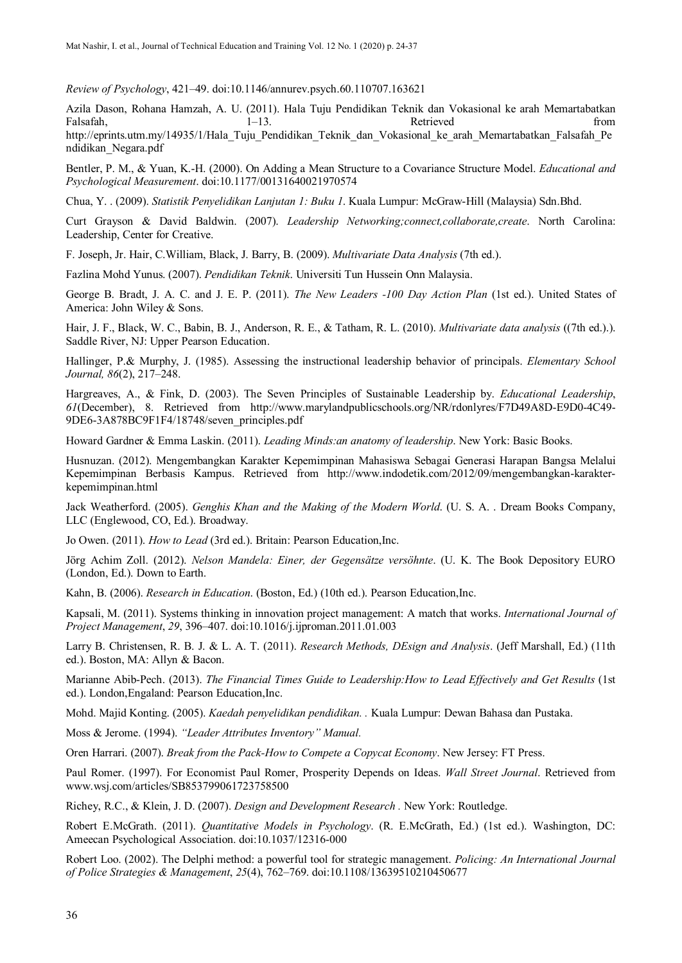*Review of Psychology*, 421–49. doi:10.1146/annurev.psych.60.110707.163621

Azila Dason, Rohana Hamzah, A. U. (2011). Hala Tuju Pendidikan Teknik dan Vokasional ke arah Memartabatkan Falsafah, 1–13. 1–13. Retrieved from http://eprints.utm.my/14935/1/Hala\_Tuju\_Pendidikan\_Teknik\_dan\_Vokasional\_ke\_arah\_Memartabatkan\_Falsafah\_Pe ndidikan\_Negara.pdf

Bentler, P. M., & Yuan, K.-H. (2000). On Adding a Mean Structure to a Covariance Structure Model. *Educational and Psychological Measurement*. doi:10.1177/00131640021970574

Chua, Y. . (2009). *Statistik Penyelidikan Lanjutan 1: Buku 1*. Kuala Lumpur: McGraw-Hill (Malaysia) Sdn.Bhd.

Curt Grayson & David Baldwin. (2007). *Leadership Networking;connect,collaborate,create*. North Carolina: Leadership, Center for Creative.

F. Joseph, Jr. Hair, C.William, Black, J. Barry, B. (2009). *Multivariate Data Analysis* (7th ed.).

Fazlina Mohd Yunus. (2007). *Pendidikan Teknik*. Universiti Tun Hussein Onn Malaysia.

George B. Bradt, J. A. C. and J. E. P. (2011). *The New Leaders -100 Day Action Plan* (1st ed.). United States of America: John Wiley & Sons.

Hair, J. F., Black, W. C., Babin, B. J., Anderson, R. E., & Tatham, R. L. (2010). *Multivariate data analysis* ((7th ed.).). Saddle River, NJ: Upper Pearson Education.

Hallinger, P.& Murphy, J. (1985). Assessing the instructional leadership behavior of principals. *Elementary School Journal, 86*(2), 217–248.

Hargreaves, A., & Fink, D. (2003). The Seven Principles of Sustainable Leadership by. *Educational Leadership*, *61*(December), 8. Retrieved from http://www.marylandpublicschools.org/NR/rdonlyres/F7D49A8D-E9D0-4C49- 9DE6-3A878BC9F1F4/18748/seven\_principles.pdf

Howard Gardner & Emma Laskin. (2011). *Leading Minds:an anatomy of leadership*. New York: Basic Books.

Husnuzan. (2012). Mengembangkan Karakter Kepemimpinan Mahasiswa Sebagai Generasi Harapan Bangsa Melalui Kepemimpinan Berbasis Kampus. Retrieved from http://www.indodetik.com/2012/09/mengembangkan-karakterkepemimpinan.html

Jack Weatherford. (2005). *Genghis Khan and the Making of the Modern World*. (U. S. A. . Dream Books Company, LLC (Englewood, CO, Ed.). Broadway.

Jo Owen. (2011). *How to Lead* (3rd ed.). Britain: Pearson Education,Inc.

Jörg Achim Zoll. (2012). *Nelson Mandela: Einer, der Gegensätze versöhnte*. (U. K. The Book Depository EURO (London, Ed.). Down to Earth.

Kahn, B. (2006). *Research in Education*. (Boston, Ed.) (10th ed.). Pearson Education,Inc.

Kapsali, M. (2011). Systems thinking in innovation project management: A match that works. *International Journal of Project Management*, *29*, 396–407. doi:10.1016/j.ijproman.2011.01.003

Larry B. Christensen, R. B. J. & L. A. T. (2011). *Research Methods, DEsign and Analysis*. (Jeff Marshall, Ed.) (11th ed.). Boston, MA: Allyn & Bacon.

Marianne Abib-Pech. (2013). *The Financial Times Guide to Leadership:How to Lead Effectively and Get Results* (1st ed.). London,Engaland: Pearson Education,Inc.

Mohd. Majid Konting. (2005). *Kaedah penyelidikan pendidikan. .* Kuala Lumpur: Dewan Bahasa dan Pustaka.

Moss & Jerome. (1994). *"Leader Attributes Inventory" Manual.*

Oren Harrari. (2007). *Break from the Pack-How to Compete a Copycat Economy*. New Jersey: FT Press.

Paul Romer. (1997). For Economist Paul Romer, Prosperity Depends on Ideas. *Wall Street Journal*. Retrieved from www.wsj.com/articles/SB853799061723758500

Richey, R.C., & Klein, J. D. (2007). *Design and Development Research .* New York: Routledge.

Robert E.McGrath. (2011). *Quantitative Models in Psychology*. (R. E.McGrath, Ed.) (1st ed.). Washington, DC: Ameecan Psychological Association. doi:10.1037/12316-000

Robert Loo. (2002). The Delphi method: a powerful tool for strategic management. *Policing: An International Journal of Police Strategies & Management*, *25*(4), 762–769. doi:10.1108/13639510210450677